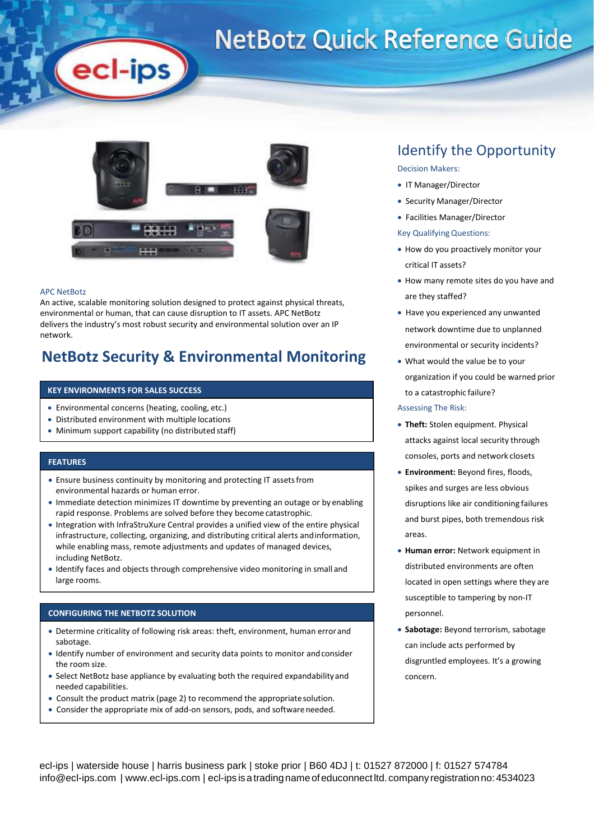# **NetBotz Quick Reference Guide**



#### APC NetBotz

An active, scalable monitoring solution designed to protect against physical threats, environmental or human, that can cause disruption to IT assets. APC NetBotz delivers the industry's most robust security and environmental solution over an IP network.

### **NetBotz Security & Environmental Monitoring**

### **KEY ENVIRONMENTS FOR SALES SUCCESS**

ecl-ips

- Environmental concerns (heating, cooling, etc.)
- Distributed environment with multiple locations
- Minimum support capability (no distributed staff)

### **FEATURES**

- Ensure business continuity by monitoring and protecting IT assetsfrom environmental hazards or human error.
- Immediate detection minimizes IT downtime by preventing an outage or by enabling rapid response. Problems are solved before they become catastrophic.
- Integration with InfraStruXure Central provides a unified view of the entire physical infrastructure, collecting, organizing, and distributing critical alerts andinformation, while enabling mass, remote adjustments and updates of managed devices, including NetBotz.
- Identify faces and objects through comprehensive video monitoring in small and large rooms.

### **CONFIGURING THE NETBOTZ SOLUTION**

- Determine criticality of following risk areas: theft, environment, human errorand sabotage.
- Identify number of environment and security data points to monitor andconsider the room size.
- Select NetBotz base appliance by evaluating both the required expandabilityand needed capabilities.
- Consult the product matrix (page 2) to recommend the appropriatesolution.
- Consider the appropriate mix of add-on sensors, pods, and softwareneeded.

### Identify the Opportunity

### Decision Makers:

- IT Manager/Director
- Security Manager/Director
- Facilities Manager/Director

### Key Qualifying Questions:

- How do you proactively monitor your critical IT assets?
- How many remote sites do you have and are they staffed?
- Have you experienced any unwanted network downtime due to unplanned environmental or security incidents?
- What would the value be to your organization if you could be warned prior to a catastrophic failure?

#### Assessing The Risk:

- **Theft:** Stolen equipment. Physical attacks against local security through consoles, ports and network closets
- **Environment:** Beyond fires, floods, spikes and surges are less obvious disruptions like air conditioning failures and burst pipes, both tremendous risk areas.
- **Human error:** Network equipment in distributed environments are often located in open settings where they are susceptible to tampering by non-IT personnel.
- **Sabotage:** Beyond terrorism, sabotage can include acts performed by disgruntled employees. It's a growing concern.

ecl-ips | waterside house | harris business park | stoke prior | B60 4DJ | t: 01527 872000 | f: 01527 574784 [info@ecl-ips.com](mailto:info@ecl-ips.com) | [www.ecl-ips.com](http://www.ecl-ips.com/) | ecl-ips is a trading name of educonnect ltd. company registration no: 4534023